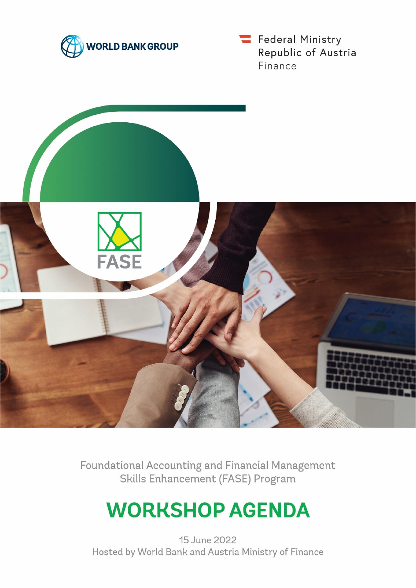

Federal Ministry Republic of Austria Finance



Foundational Accounting and Financial Management Skills Enhancement (FASE) Program

# **WORKSHOP AGENDA**

15 June 2022 Hosted by World Bank and Austria Ministry of Finance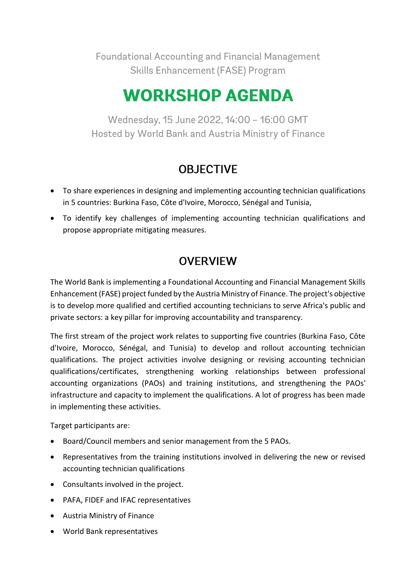Foundational Accounting and Financial Management Skills Enhancement (FASE) Program

## **WORKSHOP AGENDA**

Wednesday, 15 June 2022, 14:00 - 16:00 GMT Hosted by World Bank and Austria Ministry of Finance

### **OBJECTIVE**

- To share experiences in designing and implementing accounting technician qualifications in 5 countries: Burkina Faso, Côte d'Ivoire, Morocco, Sénégal and Tunisia,
- To identify key challenges of implementing accounting technician qualifications and propose appropriate mitigating measures.

### **OVERVIEW**

The World Bank is implementing a Foundational Accounting and Financial Management Skills Enhancement (FASE) project funded by the Austria Ministry of Finance. The project's objective is to develop more qualified and certified accounting technicians to serve Africa's public and private sectors: a key pillar for improving accountability and transparency.

The first stream of the project work relates to supporting five countries (Burkina Faso, Côte d'Ivoire, Morocco, Sénégal, and Tunisia) to develop and rollout accounting technician qualifications. The project activities involve designing or revising accounting technician qualifications/certificates, strengthening working relationships between professional accounting organizations (PAOs) and training institutions, and strengthening the PAOs' infrastructure and capacity to implement the qualifications. A lot of progress has been made in implementing these activities.

Target participants are:

- Board/Council members and senior management from the 5 PAOs.
- Representatives from the training institutions involved in delivering the new or revised accounting technician qualifications
- Consultants involved in the project.
- PAFA, FIDEF and IFAC representatives
- Austria Ministry of Finance
- World Bank representatives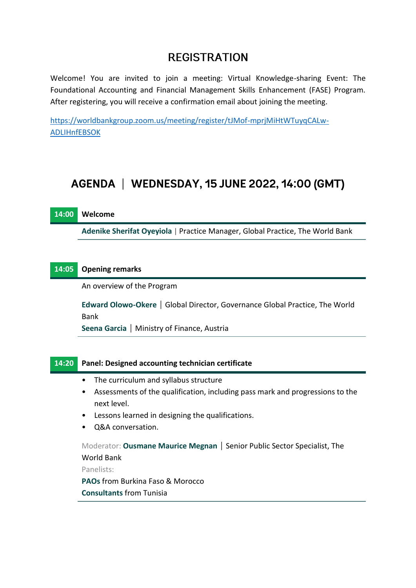### **REGISTRATION**

Welcome! You are invited to join a meeting: Virtual Knowledge-sharing Event: The Foundational Accounting and Financial Management Skills Enhancement (FASE) Program. After registering, you will receive a confirmation email about joining the meeting.

[https://worldbankgroup.zoom.us/meeting/register/tJMof-mprjMiHtWTuyqCALw-](https://worldbankgroup.zoom.us/meeting/register/tJMof-mprjMiHtWTuyqCALw-ADLIHnfEBSOK)[ADLIHnfEBSOK](https://worldbankgroup.zoom.us/meeting/register/tJMof-mprjMiHtWTuyqCALw-ADLIHnfEBSOK)

### AGENDA | WEDNESDAY, 15 JUNE 2022, 14:00 (GMT)

**Adenike Sherifat Oyeyiola** | Practice Manager, Global Practice, The World Bank

#### **14:05 Opening remarks**

An overview of the Program

**Edward Olowo-Okere** | Global Director, Governance Global Practice, The World Bank

**Seena Garcia** | Ministry of Finance, Austria

#### **14:20 Panel: Designed accounting technician certificate**

- The curriculum and syllabus structure
- Assessments of the qualification, including pass mark and progressions to the next level.
- Lessons learned in designing the qualifications.
- Q&A conversation.

Moderator: **Ousmane Maurice Megnan** | Senior Public Sector Specialist, The World Bank

Panelists:

**PAOs** from Burkina Faso & Morocco

**Consultants** from Tunisia